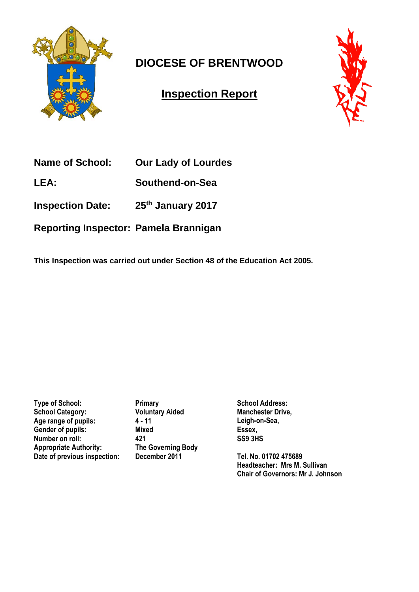

# **DIOCESE OF BRENTWOOD**

## **Inspection Report**



**Name of School: Our Lady of Lourdes** 

**LEA: Southend-on-Sea**

**Inspection Date: 25th January 2017** 

**Reporting Inspector: Pamela Brannigan**

**This Inspection was carried out under Section 48 of the Education Act 2005.**

**Type of School:** Primary<br> **Primary**<br> **Primary Aided**<br> **Primary Aided School Category:** Age range of pupils: 4 - 11<br>Gender of pupils: Mixed Gender of pupils: **Number on roll: 421 Appropriate Authority: The Governing Body Date of previous inspection: December 2011**

**School Address: Manchester Drive, Leigh-on-Sea, Essex, SS9 3HS**

**Tel. No. 01702 475689 Headteacher: Mrs M. Sullivan Chair of Governors: Mr J. Johnson**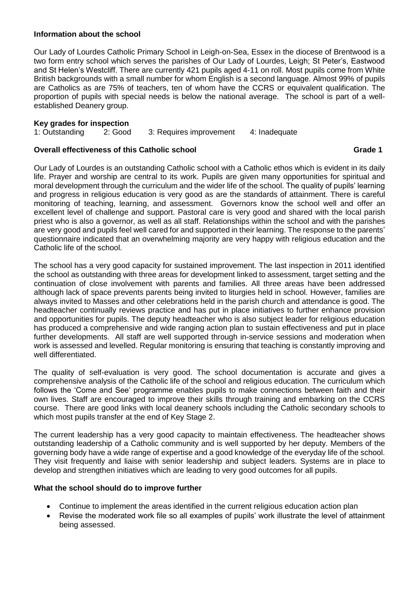### **Information about the school**

Our Lady of Lourdes Catholic Primary School in Leigh-on-Sea, Essex in the diocese of Brentwood is a two form entry school which serves the parishes of Our Lady of Lourdes, Leigh; St Peter's, Eastwood and St Helen's Westcliff. There are currently 421 pupils aged 4-11 on roll. Most pupils come from White British backgrounds with a small number for whom English is a second language. Almost 99% of pupils are Catholics as are 75% of teachers, ten of whom have the CCRS or equivalent qualification. The proportion of pupils with special needs is below the national average. The school is part of a wellestablished Deanery group.

### **Key grades for inspection**

1: Outstanding 2: Good 3: Requires improvement 4: Inadequate

### **Overall effectiveness of this Catholic school Grade 1**

Our Lady of Lourdes is an outstanding Catholic school with a Catholic ethos which is evident in its daily life. Prayer and worship are central to its work. Pupils are given many opportunities for spiritual and moral development through the curriculum and the wider life of the school. The quality of pupils' learning and progress in religious education is very good as are the standards of attainment. There is careful monitoring of teaching, learning, and assessment. Governors know the school well and offer an excellent level of challenge and support. Pastoral care is very good and shared with the local parish priest who is also a governor, as well as all staff. Relationships within the school and with the parishes are very good and pupils feel well cared for and supported in their learning. The response to the parents' questionnaire indicated that an overwhelming majority are very happy with religious education and the Catholic life of the school.

The school has a very good capacity for sustained improvement. The last inspection in 2011 identified the school as outstanding with three areas for development linked to assessment, target setting and the continuation of close involvement with parents and families. All three areas have been addressed although lack of space prevents parents being invited to liturgies held in school. However, families are always invited to Masses and other celebrations held in the parish church and attendance is good. The headteacher continually reviews practice and has put in place initiatives to further enhance provision and opportunities for pupils. The deputy headteacher who is also subject leader for religious education has produced a comprehensive and wide ranging action plan to sustain effectiveness and put in place further developments. All staff are well supported through in-service sessions and moderation when work is assessed and levelled. Regular monitoring is ensuring that teaching is constantly improving and well differentiated.

The quality of self-evaluation is very good. The school documentation is accurate and gives a comprehensive analysis of the Catholic life of the school and religious education. The curriculum which follows the 'Come and See' programme enables pupils to make connections between faith and their own lives. Staff are encouraged to improve their skills through training and embarking on the CCRS course. There are good links with local deanery schools including the Catholic secondary schools to which most pupils transfer at the end of Key Stage 2.

The current leadership has a very good capacity to maintain effectiveness. The headteacher shows outstanding leadership of a Catholic community and is well supported by her deputy. Members of the governing body have a wide range of expertise and a good knowledge of the everyday life of the school. They visit frequently and liaise with senior leadership and subject leaders. Systems are in place to develop and strengthen initiatives which are leading to very good outcomes for all pupils.

### **What the school should do to improve further**

- Continue to implement the areas identified in the current religious education action plan
- Revise the moderated work file so all examples of pupils' work illustrate the level of attainment being assessed.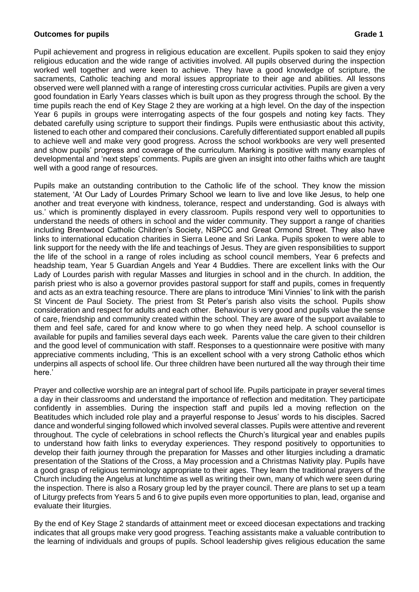### **Outcomes for pupils Grade 1** *Continued by Crade 1* **<b>***Grade 1 Grade 1*

Pupil achievement and progress in religious education are excellent. Pupils spoken to said they enjoy religious education and the wide range of activities involved. All pupils observed during the inspection worked well together and were keen to achieve. They have a good knowledge of scripture, the sacraments, Catholic teaching and moral issues appropriate to their age and abilities. All lessons observed were well planned with a range of interesting cross curricular activities. Pupils are given a very good foundation in Early Years classes which is built upon as they progress through the school. By the time pupils reach the end of Key Stage 2 they are working at a high level. On the day of the inspection Year 6 pupils in groups were interrogating aspects of the four gospels and noting key facts. They debated carefully using scripture to support their findings. Pupils were enthusiastic about this activity, listened to each other and compared their conclusions. Carefully differentiated support enabled all pupils to achieve well and make very good progress. Across the school workbooks are very well presented and show pupils' progress and coverage of the curriculum. Marking is positive with many examples of developmental and 'next steps' comments. Pupils are given an insight into other faiths which are taught well with a good range of resources.

Pupils make an outstanding contribution to the Catholic life of the school. They know the mission statement, 'At Our Lady of Lourdes Primary School we learn to live and love like Jesus, to help one another and treat everyone with kindness, tolerance, respect and understanding. God is always with us.' which is prominently displayed in every classroom. Pupils respond very well to opportunities to understand the needs of others in school and the wider community. They support a range of charities including Brentwood Catholic Children's Society, NSPCC and Great Ormond Street. They also have links to international education charities in Sierra Leone and Sri Lanka. Pupils spoken to were able to link support for the needy with the life and teachings of Jesus. They are given responsibilities to support the life of the school in a range of roles including as school council members, Year 6 prefects and headship team, Year 5 Guardian Angels and Year 4 Buddies. There are excellent links with the Our Lady of Lourdes parish with regular Masses and liturgies in school and in the church. In addition, the parish priest who is also a governor provides pastoral support for staff and pupils, comes in frequently and acts as an extra teaching resource. There are plans to introduce 'Mini Vinnies' to link with the parish St Vincent de Paul Society. The priest from St Peter's parish also visits the school. Pupils show consideration and respect for adults and each other. Behaviour is very good and pupils value the sense of care, friendship and community created within the school. They are aware of the support available to them and feel safe, cared for and know where to go when they need help. A school counsellor is available for pupils and families several days each week. Parents value the care given to their children and the good level of communication with staff. Responses to a questionnaire were positive with many appreciative comments including, 'This is an excellent school with a very strong Catholic ethos which underpins all aspects of school life. Our three children have been nurtured all the way through their time here.'

Prayer and collective worship are an integral part of school life. Pupils participate in prayer several times a day in their classrooms and understand the importance of reflection and meditation. They participate confidently in assemblies. During the inspection staff and pupils led a moving reflection on the Beatitudes which included role play and a prayerful response to Jesus' words to his disciples. Sacred dance and wonderful singing followed which involved several classes. Pupils were attentive and reverent throughout. The cycle of celebrations in school reflects the Church's liturgical year and enables pupils to understand how faith links to everyday experiences. They respond positively to opportunities to develop their faith journey through the preparation for Masses and other liturgies including a dramatic presentation of the Stations of the Cross, a May procession and a Christmas Nativity play. Pupils have a good grasp of religious terminology appropriate to their ages. They learn the traditional prayers of the Church including the Angelus at lunchtime as well as writing their own, many of which were seen during the inspection. There is also a Rosary group led by the prayer council. There are plans to set up a team of Liturgy prefects from Years 5 and 6 to give pupils even more opportunities to plan, lead, organise and evaluate their liturgies.

By the end of Key Stage 2 standards of attainment meet or exceed diocesan expectations and tracking indicates that all groups make very good progress. Teaching assistants make a valuable contribution to the learning of individuals and groups of pupils. School leadership gives religious education the same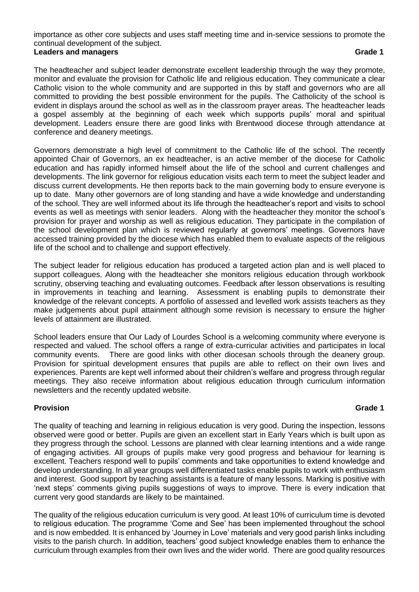importance as other core subjects and uses staff meeting time and in-service sessions to promote the continual development of the subject. **Leaders and managers Grade 1**

The headteacher and subject leader demonstrate excellent leadership through the way they promote, monitor and evaluate the provision for Catholic life and religious education. They communicate a clear Catholic vision to the whole community and are supported in this by staff and governors who are all committed to providing the best possible environment for the pupils. The Catholicity of the school is evident in displays around the school as well as in the classroom prayer areas. The headteacher leads a gospel assembly at the beginning of each week which supports pupils' moral and spiritual development. Leaders ensure there are good links with Brentwood diocese through attendance at conference and deanery meetings.

Governors demonstrate a high level of commitment to the Catholic life of the school. The recently appointed Chair of Governors, an ex headteacher, is an active member of the diocese for Catholic education and has rapidly informed himself about the life of the school and current challenges and developments. The link governor for religious education visits each term to meet the subject leader and discuss current developments. He then reports back to the main governing body to ensure everyone is up to date. Many other governors are of long standing and have a wide knowledge and understanding of the school. They are well informed about its life through the headteacher's report and visits to school events as well as meetings with senior leaders. Along with the headteacher they monitor the school's provision for prayer and worship as well as religious education. They participate in the compilation of the school development plan which is reviewed regularly at governors' meetings. Governors have accessed training provided by the diocese which has enabled them to evaluate aspects of the religious life of the school and to challenge and support effectively.

The subject leader for religious education has produced a targeted action plan and is well placed to support colleagues. Along with the headteacher she monitors religious education through workbook scrutiny, observing teaching and evaluating outcomes. Feedback after lesson observations is resulting in improvements in teaching and learning. Assessment is enabling pupils to demonstrate their knowledge of the relevant concepts. A portfolio of assessed and levelled work assists teachers as they make judgements about pupil attainment although some revision is necessary to ensure the higher levels of attainment are illustrated.

School leaders ensure that Our Lady of Lourdes School is a welcoming community where everyone is respected and valued. The school offers a range of extra-curricular activities and participates in local community events. There are good links with other diocesan schools through the deanery group. Provision for spiritual development ensures that pupils are able to reflect on their own lives and experiences. Parents are kept well informed about their children's welfare and progress through regular meetings. They also receive information about religious education through curriculum information newsletters and the recently updated website.

### **Provision Grade 1**

The quality of teaching and learning in religious education is very good. During the inspection, lessons observed were good or better. Pupils are given an excellent start in Early Years which is built upon as they progress through the school. Lessons are planned with clear learning intentions and a wide range of engaging activities. All groups of pupils make very good progress and behaviour for learning is excellent. Teachers respond well to pupils' comments and take opportunities to extend knowledge and develop understanding. In all year groups well differentiated tasks enable pupils to work with enthusiasm and interest. Good support by teaching assistants is a feature of many lessons. Marking is positive with 'next steps' comments giving pupils suggestions of ways to improve. There is every indication that current very good standards are likely to be maintained.

The quality of the religious education curriculum is very good. At least 10% of curriculum time is devoted to religious education. The programme 'Come and See' has been implemented throughout the school and is now embedded. It is enhanced by 'Journey in Love' materials and very good parish links including visits to the parish church. In addition, teachers' good subject knowledge enables them to enhance the curriculum through examples from their own lives and the wider world. There are good quality resources